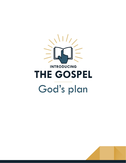

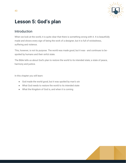

# **Lesson 5: God's plan**

# Introduction

When we look at the world, it is quite clear that there is something wrong with it. It is beautifully made and shows every sign of being the work of a designer, but it is full of wickedness, suffering and violence.

This, however, is not its purpose. The world was made good, but it was - and continues to be spoiled by humans and their sinful state.

The Bible tells us about God's plan to restore the world to its intended state; a state of peace, harmony and justice.

In this chapter you will learn:

- God made the world good, but it was spoiled by man's sin
- What God needs to restore the world to its intended state
- What the Kingdom of God is, and when it is coming

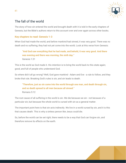

# The fall of the world

The story of how sin entered the world and brought death with it is told in the early chapters of Genesis, but the Bible's authors return to this account over and over again across other books.

### **Key chapters to read: Genesis 1-3**

When God had made the world, and before mankind had sinned, it was very good. There was no death and no suffering; they had not yet come into the world. Look at this verse from Genesis:

**"And God saw everything that he had made, and behold, it was very good. And there was evening and there was morning, the sixth day."** Genesis 1:31

This is the world as God made it. His intention is to bring the world back to this state again; good, and full of people who understand God.

So where did it all go wrong? Well, God gave mankind - Adam and Eve - a rule to follow, and they broke that rule. Breaking God's rules is sin, and sin leads to death.

**"Therefore, just as sin came into the world through one man, and death through sin, and so death spread to all men because all sinned."** Romans 5:12

The root cause of all suffering in the world is sin. We die because we sin - not because of a particular sin, but because the whole world is cursed with sin as a general matter.

The important point here is that sin acts indirectly. We live in a world cursed by sin, and it is this that causes death. This is why a sinless person like Jesus could die.

So, before the world can be set right, there needs to be a way that God can forgive sin, and therefore remove its effects on the earth.

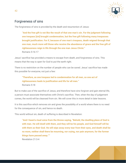

## Forgiveness of sins

The forgiveness of sins is provided by the death and resurrection of Jesus:

**"And the free gift is not like the result of that one man's sin. For the judgment following one trespass [sin] brought condemnation, but the free gift following many trespasses brought justification. For if, because of one man's trespass, death reigned through that one man, much more will those who receive the abundance of grace and the free gift of righteousness reign in life through the one man Jesus Christ."** Romans 5:16-17

Jesus' sacrifice has provided a means to escape from death, and forgiveness of sins. This means that the way is open for God to put the earth right.

There is no restriction on the number of people who can be saved. Jesus' sacrifice has made this possible for everyone, not just a few:

**"Therefore, as one trespass led to condemnation for all men, so one act of righteousness leads to justification and life for all men."** Romans 5:18

But to make use of the sacrifice of Jesus, and therefore have sins forgiven and gain eternal life, a person must associate themselves with Christ's sacrifice. Then, when the day of judgement comes, the world will be cleansed from sin. We will cover this in more detail in later lessons.

It is this sacrifice which removes sin and gives the possibility of a world where there is no need for the consequence of sin, and hence no death.

This world without sin, death of suffering is described in Revelation:

**"And I heard a loud voice from the throne saying, "Behold, the dwelling place of God is with man. He will dwell with them, and they will be his people, and God himself will be with them as their God. He will wipe away every tear from their eyes, and death shall be no more, neither shall there be mourning, nor crying, nor pain anymore, for the former things have passed away.""**

Revelation 21:3-4

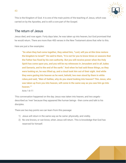

This is the Kingdom of God. It is one of the main points of the teaching of Jesus, which was carried on by the Apostles, and is still a core part of the Gospel.

### The return of Jesus

Jesus died, and rose again. Forty days later, he was taken up into heaven, but God promised that he would return. There are more than 400 verses in the New Testament alone that refer to this.

Here are just a few examples:

**"So when they had come together, they asked him, "Lord, will you at this time restore the kingdom to Israel?" He said to them, "It is not for you to know times or seasons that the Father has fixed by his own authority. But you will receive power when the Holy Spirit has come upon you, and you will be my witnesses in Jerusalem and in all Judea and Samaria, and to the end of the earth." And when he had said these things, as they were looking on, he was lifted up, and a cloud took him out of their sight. And while they were gazing into heaven as he went, behold, two men stood by them in white robes,and said, "Men of Galilee, why do you stand looking into heaven? This Jesus, who was taken up from you into heaven, will come in the same way as you saw him go into heaven.""**

Acts 1:6-11

This conversation happened on the day Jesus was taken into heaven, and two angels described as 'men' because they appeared like human beings - then come and talk to his disciples.

There are two key points we can learn from this passage:

- 1) Jesus will return in the same way as he came: physically, and visibly.
- 2) No one knows, or can know, when Jesus will return. This is knowledge that God has reserved for himself.

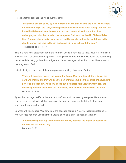

Here is another passage talking about that time:

"For this we declare to you by a word from the Lord, that we who are alive, who are left **until the coming of the Lord, will not precede those who have fallen asleep. For the Lord himself will descend from heaven with a cry of command, with the voice of an archangel, and with the sound of the trumpet of God. And the dead in Christ will rise first. Then we who are alive, who are left, will be caught up together with them in the clouds to meet the Lord in the air, and so we will always be with the Lord."** 1 Thessalonians 4:15-17

This is a very clear statement about the return of Jesus. It reminds us that Jesus will return in a way that won't be unnoticed or ignored. It also gives us some more details about the dead being raised, and the living gathered for judgement. Other passages tell us that this will be the start of the Kingdom of God.

Let's look at just one more of the many passages talking about Jesus' return:

**"Then will appear in heaven the sign of the Son of Man, and then all the tribes of the earth will mourn, and they will see the Son of Man coming on the clouds of heaven with power and great glory. And he will send out his angels with a loud trumpet call, and they will gather his elect from the four winds, from one end of heaven to the other."** Matthew 24:30-31

Again, this passage reaffirms that the return of Jesus will be seen by everyone. Here, we are also given some extra detail that angels will be sent out to gather the living faithful from wherever they are on the earth.

So when will this happen? We saw from the passage earlier in Acts 1:7 that it is not for us to know. In fact, not even Jesus himself knows, as he tells of in the book of Matthew:

**"But concerning that day and hour no one knows, not even the angels of heaven, nor the Son, but the Father only."** Matthew 24:36

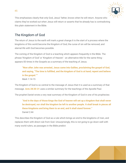

This emphasises clearly that only God, Jesus' father, knows when he will return. Anyone who claims they've worked out when Jesus will return or asserts that he already has is contradicting this plain statement in the Bible.

# The Kingdom of God

45

The return of Jesus to the earth will mark a great change.It is the start of a process where the kingdoms of this world become the Kingdom of God, the curse of sin will be removed, and eternal life with God becomes possible.

The coming of the Kingdom of God is a teaching which appears frequently in the Bible. The phrase 'Kingdom of God' or 'Kingdom of Heaven' - an alternative title for the same thing appears 83 times in the Gospels as a summary of the teaching of Jesus.

**"Now after John was arrested, Jesus came into Galilee, proclaiming the gospel of God, and saying, "The time is fulfilled, and the kingdom of God is at hand; repent and believe in the gospel.""** Mark 1:14-15

The Kingdom of God is so central to the message of Jesus that it is used as a summary of that message. **Acts 28:30-31** uses a similar summary for the teachings of the Apostle Paul.

The prophet Daniel wrote a very neat summary of the Kingdom of God in one of his prophecies:

**"And in the days of those kings the God of heaven will set up a kingdom that shall never be destroyed, nor shall the kingdom be left to another people. It shall break in pieces all these kingdoms and bring them to an end, and it shall stand forever."** Daniel 2:44

This describes the Kingdom of God as a rule which brings an end to the kingdoms of men, and replaces them with direct rule from God. Unsurprisingly, this is not going to go down well with many world rulers, as passages in the Bible predict: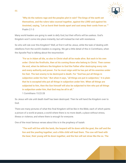

**"Why do the nations rage and the peoples plot in vain? The kings of the earth set themselves, and the rulers take counsel together, against the LORD and against his Anointed, saying, "Let us burst their bonds apart and cast away their cords from us.""** Psalm 2:1-3

Many world leaders are going to seek to defy God, but their efforts will be useless. God's Kingdom won't come into place instantly, but will instead be met with resistance.

So who will rule over this Kingdom? Well, at first it will be Jesus, while the task of dealing with rebellions from the world's leaders is ongoing. We get a little detail of this in Corinthians, when the Apostle Paul is talking about the resurrection:

"For as in Adam all die, so also in Christ shall all be made alive. But each in his own **order: Christ the firstfruits, then at his coming those who belong to Christ. Then comes the end, when he delivers the kingdom to God the Father after destroying every rule and every authority and power. For he must reign until he has put all his enemies under his feet. The last enemy to be destroyed is death. For "God has put all things in subjection under his feet." But when it says, "all things are put in subjection," it is plain that he is excepted who put all things in subjection under him. When all things are subjected to him, then the Son himself will also be subjected to him who put all things in subjection under him, that God may be all in all."**

1 Corinthians 15:22-28

So Jesus will rule until death itself has been destroyed. Then he will hand the Kingdom over to God.

There are many pictures of what this final Kingdom will be like in the Bible, each of which paints a picture of a world at peace, a world where there is no more death, a place without stress, illness or violence, and where there is enough for everyone.

One of the most famous verses about this is in the prophecy of Isaiah:

"The wolf will live with the lamb, the leopard will lie down with the goat, the calf and the **lion and the yearling together; and a little child will lead them. The cow will feed with the bear, their young will lie down together, and the lion will eat straw like the ox. The**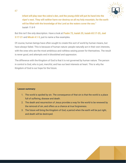

**infant will play near the cobra's den, and the young child will put its hand into the viper's nest. They will neither harm nor destroy on all my holy mountain, for the earth will be filled with the knowledge of the Lord as the waters cover the sea."** Isaiah 11:6-9

But this isn't the only description. Have a look at **Psalm 72, Isaiah 35, Isaiah 65:17-25, Joel 3:17-21** and **Micah 4:1-5**, just to name a few examples.

Of course, human beings have often sought to create this sort of world by human means, but have always failed. This is because of human nature: people naturally act in their own interests, with the ones who are the most ambitious and ruthless seizing power for themselves. The result is never good, and attempts end in bloodshed and oppression.

The difference with the Kingdom of God is that it is not governed by human nature. The person in control is God, who is just, merciful, and has our best interests at heart. This is why the Kingdom of God is our hope for the future.

#### **Lesson summary:**

- 1. The world is spoiled by sin. The consequence of that sin is that the world is a place full of suffering, disease and death.
- 2. The death and resurrection of Jesus provides a way for the world to be renewed by the removal of sin, and offers us a chance at true forgiveness.
- 3. The future will bring the Kingdom of God, a period when the earth will be put right, and death will be destroyed.



47